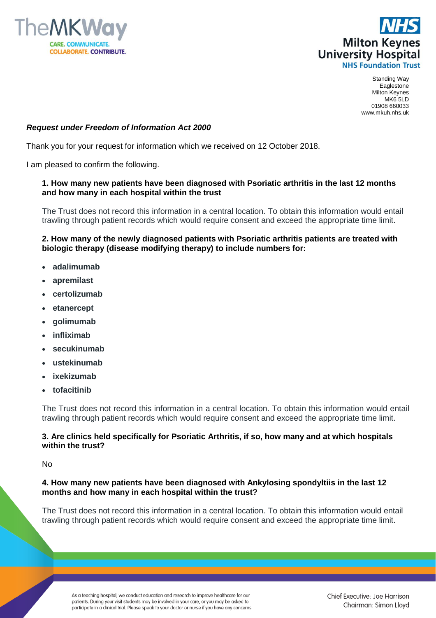



Standing Way Eaglestone Milton Keynes MK6 5LD 01908 660033 www.mkuh.nhs.uk

# *Request under Freedom of Information Act 2000*

Thank you for your request for information which we received on 12 October 2018.

I am pleased to confirm the following.

# **1. How many new patients have been diagnosed with Psoriatic arthritis in the last 12 months and how many in each hospital within the trust**

The Trust does not record this information in a central location. To obtain this information would entail trawling through patient records which would require consent and exceed the appropriate time limit.

# **2. How many of the newly diagnosed patients with Psoriatic arthritis patients are treated with biologic therapy (disease modifying therapy) to include numbers for:**

- **adalimumab**
- **apremilast**
- **certolizumab**
- **etanercept**
- **golimumab**
- **infliximab**
- **secukinumab**
- **ustekinumab**
- **ixekizumab**
- **tofacitinib**

The Trust does not record this information in a central location. To obtain this information would entail trawling through patient records which would require consent and exceed the appropriate time limit.

# **3. Are clinics held specifically for Psoriatic Arthritis, if so, how many and at which hospitals within the trust?**

No

## **4. How many new patients have been diagnosed with Ankylosing spondyltiis in the last 12 months and how many in each hospital within the trust?**

The Trust does not record this information in a central location. To obtain this information would entail trawling through patient records which would require consent and exceed the appropriate time limit.

As a teaching hospital, we conduct education and research to improve healthcare for our patients. During your visit students may be involved in your care, or you may be asked to participate in a clinical trial. Please speak to your doctor or nurse if you have any concerns.